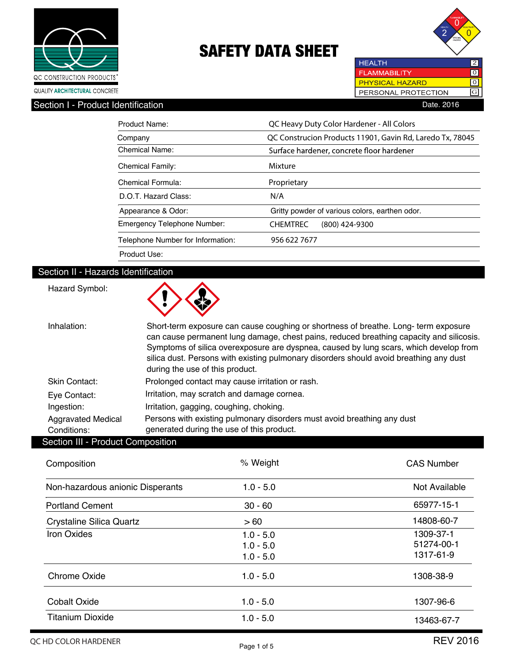



**HEALTH** 2 **FLAMMABILITY**  $\boxed{0}$ **PHYSICAL HAZARD** ल PERSONAL PROTECTION G

Section I - Product Identification **Date.** 2016

| Product Name:                     | QC Heavy Duty Color Hardener - All Colors                 |  |  |  |
|-----------------------------------|-----------------------------------------------------------|--|--|--|
| Company                           | QC Construcion Products 11901, Gavin Rd, Laredo Tx, 78045 |  |  |  |
| Chemical Name:                    | Surface hardener, concrete floor hardener                 |  |  |  |
| <b>Chemical Family:</b>           | Mixture                                                   |  |  |  |
| Chemical Formula:                 | Proprietary                                               |  |  |  |
| D.O.T. Hazard Class:              | N/A                                                       |  |  |  |
| Appearance & Odor:                | Gritty powder of various colors, earthen odor.            |  |  |  |
| Emergency Telephone Number:       | <b>CHEMTREC</b><br>$(800)$ 424-9300                       |  |  |  |
| Telephone Number for Information: | 956 622 7677                                              |  |  |  |
| Product Use:                      |                                                           |  |  |  |

### Section II - Hazards Identification

| Hazard Symbol:                           |                                                                                                                                                                                                                                                                                                                                                                                                     |
|------------------------------------------|-----------------------------------------------------------------------------------------------------------------------------------------------------------------------------------------------------------------------------------------------------------------------------------------------------------------------------------------------------------------------------------------------------|
| Inhalation:                              | Short-term exposure can cause coughing or shortness of breathe. Long-term exposure<br>can cause permanent lung damage, chest pains, reduced breathing capacity and silicosis.<br>Symptoms of silica overexposure are dyspnea, caused by lung scars, which develop from<br>silica dust. Persons with existing pulmonary disorders should avoid breathing any dust<br>during the use of this product. |
| Skin Contact:                            | Prolonged contact may cause irritation or rash.                                                                                                                                                                                                                                                                                                                                                     |
| Eye Contact:                             | Irritation, may scratch and damage cornea.                                                                                                                                                                                                                                                                                                                                                          |
| Ingestion:                               | Irritation, gagging, coughing, choking.                                                                                                                                                                                                                                                                                                                                                             |
| <b>Aggravated Medical</b><br>Conditions: | Persons with existing pulmonary disorders must avoid breathing any dust<br>generated during the use of this product.                                                                                                                                                                                                                                                                                |
| <b>Section III - Product Composition</b> |                                                                                                                                                                                                                                                                                                                                                                                                     |

 $\blacktriangle$ 

 $\triangle$ 

| Composition                      | % Weight    | <b>CAS Number</b> |
|----------------------------------|-------------|-------------------|
| Non-hazardous anionic Disperants | $1.0 - 5.0$ | Not Available     |
| <b>Portland Cement</b>           | $30 - 60$   | 65977-15-1        |
| <b>Crystaline Silica Quartz</b>  | >60         | 14808-60-7        |
| <b>Iron Oxides</b>               | $1.0 - 5.0$ | 1309-37-1         |
|                                  | $1.0 - 5.0$ | 51274-00-1        |
|                                  | $1.0 - 5.0$ | 1317-61-9         |
| <b>Chrome Oxide</b>              | $1.0 - 5.0$ | 1308-38-9         |
| <b>Cobalt Oxide</b>              | $1.0 - 5.0$ | 1307-96-6         |
| <b>Titanium Dioxide</b>          | $1.0 - 5.0$ | 13463-67-7        |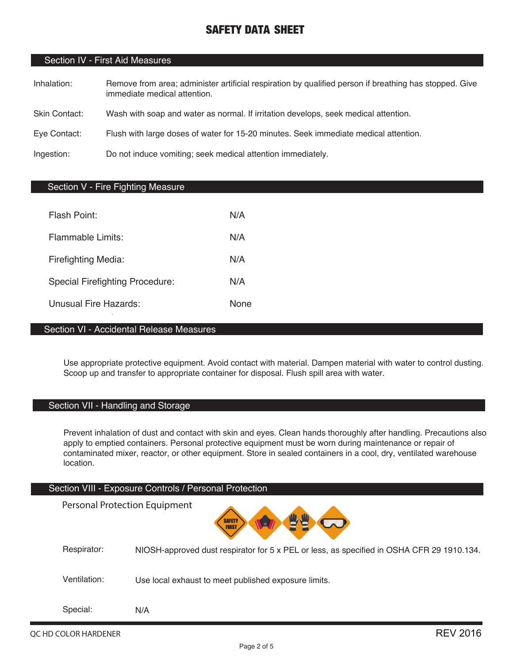### Section IV - First Aid Measures

- Inhalation: Remove from area; administer artificial respiration by qualified person if breathing has stopped. Give immediate medical attention.
- Skin Contact: Wash with soap and water as normal. If irritation develops, seek medical attention.
- Eye Contact: Flush with large doses of water for 15-20 minutes. Seek immediate medical attention.

Ingestion: Do not induce vomiting; seek medical attention immediately.

### Section V - Fire Fighting Measure

| Flash Point:                           | N/A         |
|----------------------------------------|-------------|
| Flammable Limits:                      | N/A         |
| Firefighting Media:                    | N/A         |
| <b>Special Firefighting Procedure:</b> | N/A         |
| Unusual Fire Hazards:                  | <b>None</b> |

### Section VI - Accidental Release Measures

Use appropriate protective equipment. Avoid contact with material. Dampen material with water to control dusting. Scoop up and transfer to appropriate container for disposal. Flush spill area with water.

### Section VII - Handling and Storage

Prevent inhalation of dust and contact with skin and eyes. Clean hands thoroughly after handling. Precautions also apply to emptied containers. Personal protective equipment must be worn during maintenance or repair of contaminated mixer, reactor, or other equipment. Store in sealed containers in a cool, dry, ventilated warehouse location.

#### Section VIII - Exposure Controls / Personal Protection

Personal Protection Equipment**SAFETY** Respirator: NIOSH-approved dust respirator for 5 x PEL or less, as specified in OSHA CFR 29 1910.134. Ventilation: Use local exhaust to meet published exposure limits. Special: N/A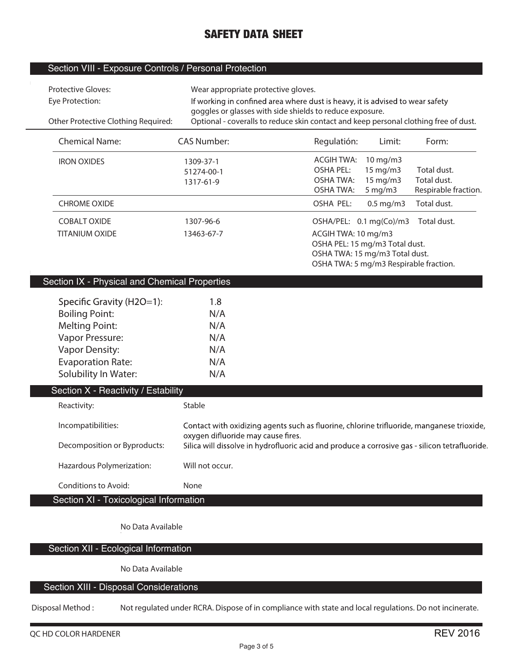### Section VIII - Exposure Controls / Personal Protection

 $\mathbb{R}^2$ 

| <b>Protective Gloves:</b><br>Eye Protection:<br>Other Protective Clothing Required:                                                                                         | Wear appropriate protective gloves.           | If working in confined area where dust is heavy, it is advised to wear safety<br>goggles or glasses with side shields to reduce exposure.<br>Optional - coveralls to reduce skin contact and keep personal clothing free of dust. |                                                                                                                                       |                                                    |
|-----------------------------------------------------------------------------------------------------------------------------------------------------------------------------|-----------------------------------------------|-----------------------------------------------------------------------------------------------------------------------------------------------------------------------------------------------------------------------------------|---------------------------------------------------------------------------------------------------------------------------------------|----------------------------------------------------|
| <b>Chemical Name:</b>                                                                                                                                                       | <b>CAS Number:</b>                            | Regulatión:                                                                                                                                                                                                                       | Limit:                                                                                                                                | Form:                                              |
| <b>IRON OXIDES</b>                                                                                                                                                          | 1309-37-1<br>51274-00-1<br>1317-61-9          | <b>ACGIH TWA:</b><br><b>OSHA PEL:</b><br><b>OSHA TWA:</b><br><b>OSHA TWA:</b>                                                                                                                                                     | 10 mg/m3<br>15 mg/m3<br>15 mg/m3<br>$5$ mg/m $3$                                                                                      | Total dust.<br>Total dust.<br>Respirable fraction. |
| <b>CHROME OXIDE</b>                                                                                                                                                         |                                               | <b>OSHA PEL:</b>                                                                                                                                                                                                                  | $0.5$ mg/m3                                                                                                                           | Total dust.                                        |
| <b>COBALT OXIDE</b><br><b>TITANIUM OXIDE</b>                                                                                                                                | 1307-96-6<br>13463-67-7                       | ACGIH TWA: 10 mg/m3                                                                                                                                                                                                               | OSHA/PEL: 0.1 mg(Co)/m3<br>OSHA PEL: 15 mg/m3 Total dust.<br>OSHA TWA: 15 mg/m3 Total dust.<br>OSHA TWA: 5 mg/m3 Respirable fraction. | Total dust.                                        |
| Section IX - Physical and Chemical Properties                                                                                                                               |                                               |                                                                                                                                                                                                                                   |                                                                                                                                       |                                                    |
| Specific Gravity (H2O=1):<br><b>Boiling Point:</b><br><b>Melting Point:</b><br>Vapor Pressure:<br><b>Vapor Density:</b><br><b>Evaporation Rate:</b><br>Solubility In Water: | 1.8<br>N/A<br>N/A<br>N/A<br>N/A<br>N/A<br>N/A |                                                                                                                                                                                                                                   |                                                                                                                                       |                                                    |
| Section X - Reactivity / Estability                                                                                                                                         |                                               |                                                                                                                                                                                                                                   |                                                                                                                                       |                                                    |
| Reactivity:<br>Incompatibilities:<br>Decomposition or Byproducts:                                                                                                           | Stable<br>oxygen difluoride may cause fires.  | Contact with oxidizing agents such as fluorine, chlorine trifluoride, manganese trioxide,<br>Silica will dissolve in hydrofluoric acid and produce a corrosive gas - silicon tetrafluoride.                                       |                                                                                                                                       |                                                    |
| Hazardous Polymerization:<br>Conditions to Avoid:<br>Section XI - Toxicological Information                                                                                 | Will not occur.<br>None                       |                                                                                                                                                                                                                                   |                                                                                                                                       |                                                    |
|                                                                                                                                                                             |                                               |                                                                                                                                                                                                                                   |                                                                                                                                       |                                                    |

**No Data Available**

Section XII - Ecological Information

**No Data Available**

### Section XIII - Disposal Considerations

**Disposal Method : Not regulated under RCRA. Dispose of in compliance with state and local regulations. Do not incinerate.**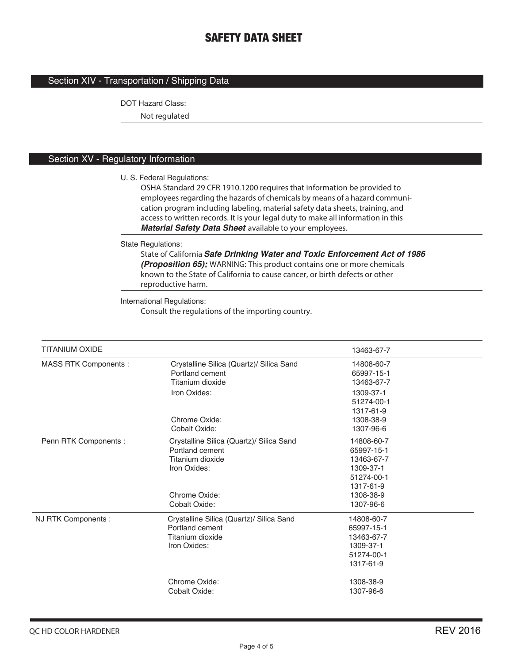### Section XIV - Transportation / Shipping Data

DOT Hazard Class:

**Not regulated**

### Section XV - Regulatory Information

U. S. Federal Regulations:

**OSHA Standard 29 CFR 1910.1200 requires that information be provided to employees regarding the hazards of chemicals by means of a hazard communication program including labeling, material safety data sheets, training, and access to written records. It is your legal duty to make all information in this**  *Material Safety Data Sheet* **available to your employees.**

State Regulations:

**State of California** *Safe Drinking Water and Toxic Enforcement Act of 1986 (Proposition 65);* **WARNING: This product contains one or more chemicals known to the State of California to cause cancer, or birth defects or other reproductive harm.**

International Regulations:

**Consult the regulations of the importing country.**

| <b>TITANIUM OXIDE</b>       |                                          | 13463-67-7 |  |  |
|-----------------------------|------------------------------------------|------------|--|--|
| <b>MASS RTK Components:</b> | Crystalline Silica (Quartz)/ Silica Sand | 14808-60-7 |  |  |
|                             | Portland cement                          | 65997-15-1 |  |  |
|                             | Titanium dioxide                         | 13463-67-7 |  |  |
|                             | Iron Oxides:                             | 1309-37-1  |  |  |
|                             |                                          | 51274-00-1 |  |  |
|                             |                                          | 1317-61-9  |  |  |
|                             | Chrome Oxide:                            | 1308-38-9  |  |  |
|                             | Cobalt Oxide:                            | 1307-96-6  |  |  |
| Penn RTK Components :       | Crystalline Silica (Quartz)/ Silica Sand | 14808-60-7 |  |  |
|                             | Portland cement                          | 65997-15-1 |  |  |
|                             | Titanium dioxide                         | 13463-67-7 |  |  |
|                             | Iron Oxides:                             | 1309-37-1  |  |  |
|                             |                                          | 51274-00-1 |  |  |
|                             |                                          | 1317-61-9  |  |  |
|                             | Chrome Oxide:                            | 1308-38-9  |  |  |
|                             | Cobalt Oxide:                            | 1307-96-6  |  |  |
| NJ RTK Components :         | Crystalline Silica (Quartz)/ Silica Sand | 14808-60-7 |  |  |
|                             | Portland cement                          | 65997-15-1 |  |  |
|                             | Titanium dioxide                         | 13463-67-7 |  |  |
|                             | Iron Oxides:                             | 1309-37-1  |  |  |
|                             |                                          | 51274-00-1 |  |  |
|                             |                                          | 1317-61-9  |  |  |
|                             | Chrome Oxide:                            | 1308-38-9  |  |  |
|                             | Cobalt Oxide:                            | 1307-96-6  |  |  |